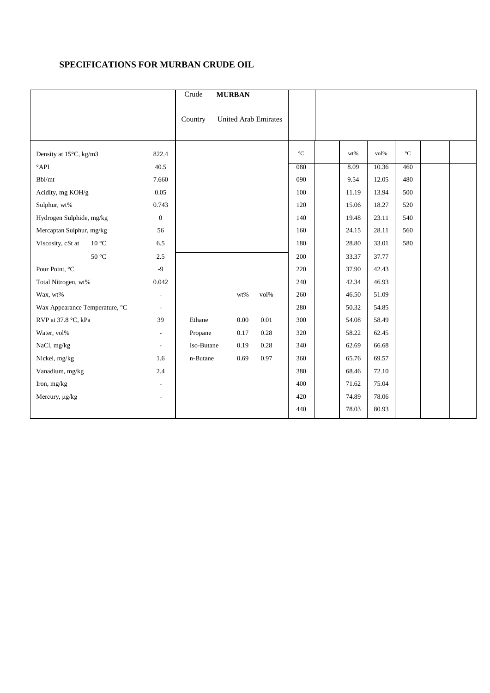## **SPECIFICATIONS FOR MURBAN CRUDE OIL**

|                                     |                          | Crude      | <b>MURBAN</b>               |      |             |       |                  |                 |  |
|-------------------------------------|--------------------------|------------|-----------------------------|------|-------------|-------|------------------|-----------------|--|
|                                     |                          | Country    | <b>United Arab Emirates</b> |      |             |       |                  |                 |  |
| Density at 15°C, kg/m3              | 822.4                    |            |                             |      | $^{\circ}C$ | wt%   | vol <sub>%</sub> | $\rm ^{\circ}C$ |  |
| $^{\circ}$ API                      | 40.5                     |            |                             |      | 080         | 8.09  | 10.36            | 460             |  |
| Bbl/mt                              | 7.660                    |            |                             |      | 090         | 9.54  | 12.05            | 480             |  |
| Acidity, mg KOH/g                   | 0.05                     |            |                             |      | 100         | 11.19 | 13.94            | 500             |  |
| Sulphur, wt%                        | 0.743                    |            |                             |      | 120         | 15.06 | 18.27            | 520             |  |
| Hydrogen Sulphide, mg/kg            | $\overline{0}$           |            |                             |      | 140         | 19.48 | 23.11            | 540             |  |
| Mercaptan Sulphur, mg/kg            | 56                       |            |                             |      | 160         | 24.15 | 28.11            | 560             |  |
| Viscosity, cSt at<br>$10^{\circ}$ C | 6.5                      |            |                             |      | 180         | 28.80 | 33.01            | 580             |  |
| $50^{\circ}$ C                      | 2.5                      |            |                             |      | 200         | 33.37 | 37.77            |                 |  |
| Pour Point, °C                      | $-9$                     |            |                             |      | 220         | 37.90 | 42.43            |                 |  |
| Total Nitrogen, wt%                 | 0.042                    |            |                             |      | 240         | 42.34 | 46.93            |                 |  |
| Wax, wt%                            | L,                       |            | wt%                         | vol% | 260         | 46.50 | 51.09            |                 |  |
| Wax Appearance Temperature, °C      | $\overline{\phantom{a}}$ |            |                             |      | 280         | 50.32 | 54.85            |                 |  |
| RVP at 37.8 °C, kPa                 | 39                       | Ethane     | $0.00\,$                    | 0.01 | 300         | 54.08 | 58.49            |                 |  |
| Water, vol%                         | $\sim$                   | Propane    | 0.17                        | 0.28 | 320         | 58.22 | 62.45            |                 |  |
| NaCl, mg/kg                         | $\overline{\phantom{a}}$ | Iso-Butane | 0.19                        | 0.28 | 340         | 62.69 | 66.68            |                 |  |
| Nickel, mg/kg                       | 1.6                      | n-Butane   | 0.69                        | 0.97 | 360         | 65.76 | 69.57            |                 |  |
| Vanadium, mg/kg                     | 2.4                      |            |                             |      | 380         | 68.46 | 72.10            |                 |  |
| Iron, mg/kg                         | $\overline{\phantom{a}}$ |            |                             |      | 400         | 71.62 | 75.04            |                 |  |
| Mercury, µg/kg                      | $\overline{\phantom{a}}$ |            |                             |      | 420         | 74.89 | 78.06            |                 |  |
|                                     |                          |            |                             |      | 440         | 78.03 | 80.93            |                 |  |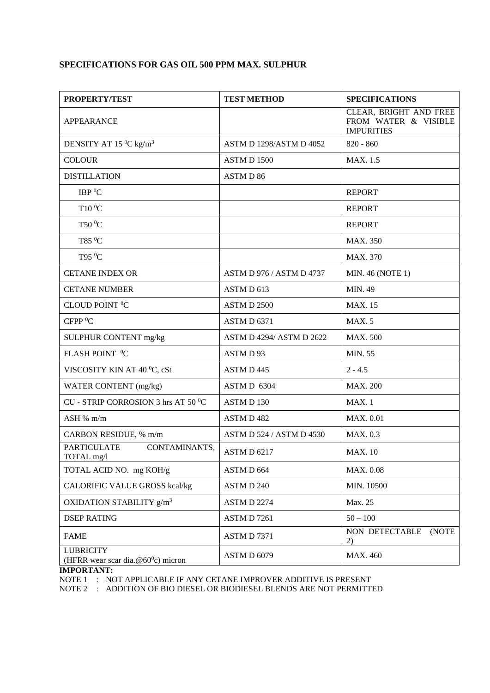# **SPECIFICATIONS FOR GAS OIL 500 PPM MAX. SULPHUR**

| <b>PROPERTY/TEST</b>                                      | <b>TEST METHOD</b>              | <b>SPECIFICATIONS</b>                                               |  |  |
|-----------------------------------------------------------|---------------------------------|---------------------------------------------------------------------|--|--|
| <b>APPEARANCE</b>                                         |                                 | CLEAR, BRIGHT AND FREE<br>FROM WATER & VISIBLE<br><b>IMPURITIES</b> |  |  |
| DENSITY AT 15 $^0C$ kg/m <sup>3</sup>                     | <b>ASTM D 1298/ASTM D 4052</b>  | $820 - 860$                                                         |  |  |
| <b>COLOUR</b>                                             | ASTM D 1500                     | MAX. 1.5                                                            |  |  |
| <b>DISTILLATION</b>                                       | <b>ASTMD 86</b>                 |                                                                     |  |  |
| IBP <sup>0</sup> C                                        |                                 | <b>REPORT</b>                                                       |  |  |
| T10 °C                                                    |                                 | <b>REPORT</b>                                                       |  |  |
| T50 °C                                                    |                                 | <b>REPORT</b>                                                       |  |  |
| T85 °C                                                    |                                 | <b>MAX. 350</b>                                                     |  |  |
| T95 <sup>0</sup> C                                        |                                 | MAX. 370                                                            |  |  |
| <b>CETANE INDEX OR</b>                                    | <b>ASTM D 976 / ASTM D 4737</b> | MIN. 46 (NOTE 1)                                                    |  |  |
| <b>CETANE NUMBER</b>                                      | ASTM D 613                      | <b>MIN. 49</b>                                                      |  |  |
| CLOUD POINT <sup>O</sup> C                                | ASTM D 2500                     | <b>MAX. 15</b>                                                      |  |  |
| CFPP <sup>0</sup> C                                       | ASTM D 6371                     | MAX. 5                                                              |  |  |
| SULPHUR CONTENT mg/kg                                     | <b>ASTM D 4294/ ASTM D 2622</b> | <b>MAX. 500</b>                                                     |  |  |
| FLASH POINT <sup>0</sup> C                                | ASTMD93                         | <b>MIN. 55</b>                                                      |  |  |
| VISCOSITY KIN AT 40 °C, cSt                               | ASTM D 445                      | $2 - 4.5$                                                           |  |  |
| WATER CONTENT (mg/kg)                                     | ASTM D 6304                     | <b>MAX. 200</b>                                                     |  |  |
| CU - STRIP CORROSION 3 hrs AT 50 °C                       | ASTM D 130                      | MAX. 1                                                              |  |  |
| ASH % m/m                                                 | <b>ASTMD482</b>                 | <b>MAX. 0.01</b>                                                    |  |  |
| CARBON RESIDUE, % m/m                                     | ASTM D 524 / ASTM D 4530        | <b>MAX. 0.3</b>                                                     |  |  |
| <b>PARTICULATE</b><br>CONTAMINANTS,<br>TOTAL mg/l         | ASTM D 6217                     | <b>MAX.</b> 10                                                      |  |  |
| TOTAL ACID NO. mg KOH/g                                   | ASTM D 664                      | MAX. 0.08                                                           |  |  |
| <b>CALORIFIC VALUE GROSS kcal/kg</b>                      | ASTM D 240                      | MIN. 10500                                                          |  |  |
| OXIDATION STABILITY g/m <sup>3</sup>                      | ASTM D 2274                     | Max. 25                                                             |  |  |
| <b>DSEP RATING</b>                                        | ASTM D 7261                     | $50 - 100$                                                          |  |  |
| <b>FAME</b>                                               | ASTM D 7371                     | NON DETECTABLE<br>(NOTE<br>2)                                       |  |  |
| <b>LUBRICITY</b><br>(HFRR wear scar dia. $@60°c$ ) micron | ASTM D 6079                     | <b>MAX. 460</b>                                                     |  |  |

#### **IMPORTANT:**

NOTE 1 : NOT APPLICABLE IF ANY CETANE IMPROVER ADDITIVE IS PRESENT

NOTE 2 : ADDITION OF BIO DIESEL OR BIODIESEL BLENDS ARE NOT PERMITTED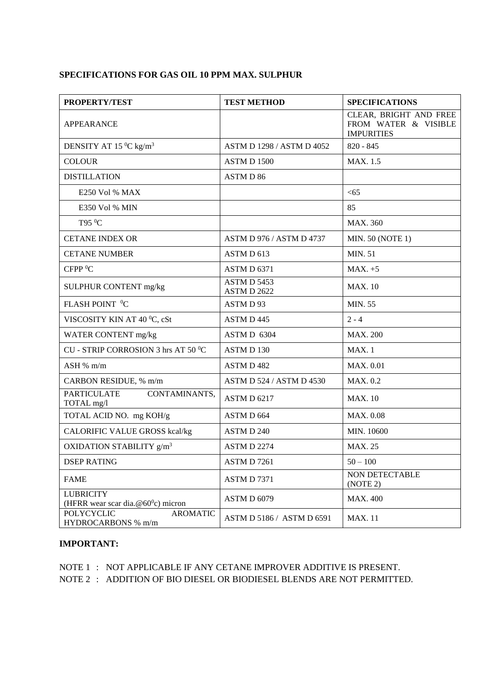#### **SPECIFICATIONS FOR GAS OIL 10 PPM MAX. SULPHUR**

| <b>PROPERTY/TEST</b>                                             | <b>TEST METHOD</b>         | <b>SPECIFICATIONS</b>                                               |  |  |
|------------------------------------------------------------------|----------------------------|---------------------------------------------------------------------|--|--|
| <b>APPEARANCE</b>                                                |                            | CLEAR, BRIGHT AND FREE<br>FROM WATER & VISIBLE<br><b>IMPURITIES</b> |  |  |
| DENSITY AT 15 °C kg/m <sup>3</sup>                               | ASTM D 1298 / ASTM D 4052  | $820 - 845$                                                         |  |  |
| <b>COLOUR</b>                                                    | <b>ASTM D 1500</b>         | MAX. 1.5                                                            |  |  |
| <b>DISTILLATION</b>                                              | ASTM D 86                  |                                                                     |  |  |
| E250 Vol % MAX                                                   |                            | < 65                                                                |  |  |
| E350 Vol % MIN                                                   |                            | 85                                                                  |  |  |
| T95 °C                                                           |                            | <b>MAX. 360</b>                                                     |  |  |
| <b>CETANE INDEX OR</b>                                           | ASTM D 976 / ASTM D 4737   | <b>MIN. 50 (NOTE 1)</b>                                             |  |  |
| <b>CETANE NUMBER</b>                                             | ASTM D 613                 | <b>MIN. 51</b>                                                      |  |  |
| CFPP <sup>0</sup> C                                              | ASTM D 6371                | $MAX. +5$                                                           |  |  |
| SULPHUR CONTENT mg/kg                                            | ASTM D 5453<br>ASTM D 2622 | <b>MAX. 10</b>                                                      |  |  |
| FLASH POINT <sup>0</sup> C                                       | ASTM D 93                  | <b>MIN. 55</b>                                                      |  |  |
| VISCOSITY KIN AT 40 °C, cSt                                      | ASTM D 445                 | $2 - 4$                                                             |  |  |
| WATER CONTENT mg/kg                                              | ASTM D 6304                | <b>MAX. 200</b>                                                     |  |  |
| CU - STRIP CORROSION 3 hrs AT 50 °C                              | ASTM D 130                 | MAX.1                                                               |  |  |
| ASH % m/m                                                        | ASTM D 482                 | <b>MAX. 0.01</b>                                                    |  |  |
| CARBON RESIDUE, % m/m                                            | ASTM D 524 / ASTM D 4530   | MAX. 0.2                                                            |  |  |
| <b>PARTICULATE</b><br>CONTAMINANTS,<br>TOTAL mg/l                | ASTM D 6217                | <b>MAX. 10</b>                                                      |  |  |
| TOTAL ACID NO. mg KOH/g                                          | ASTM D 664                 | <b>MAX. 0.08</b>                                                    |  |  |
| <b>CALORIFIC VALUE GROSS kcal/kg</b>                             | ASTM D 240                 | MIN. 10600                                                          |  |  |
| OXIDATION STABILITY g/m <sup>3</sup>                             | ASTM D 2274                | <b>MAX. 25</b>                                                      |  |  |
| <b>DSEP RATING</b>                                               | ASTM D7261                 | $50 - 100$                                                          |  |  |
| <b>FAME</b>                                                      | ASTM D7371                 | NON DETECTABLE<br>(NOTE 2)                                          |  |  |
| <b>LUBRICITY</b><br>(HFRR wear scar dia. $@60^{\circ}c$ ) micron | ASTM D 6079                | <b>MAX. 400</b>                                                     |  |  |
| <b>POLYCYCLIC</b><br><b>AROMATIC</b><br>HYDROCARBONS % m/m       | ASTM D 5186 / ASTM D 6591  | <b>MAX.11</b>                                                       |  |  |

#### **IMPORTANT:**

NOTE 1 : NOT APPLICABLE IF ANY CETANE IMPROVER ADDITIVE IS PRESENT. NOTE 2 : ADDITION OF BIO DIESEL OR BIODIESEL BLENDS ARE NOT PERMITTED.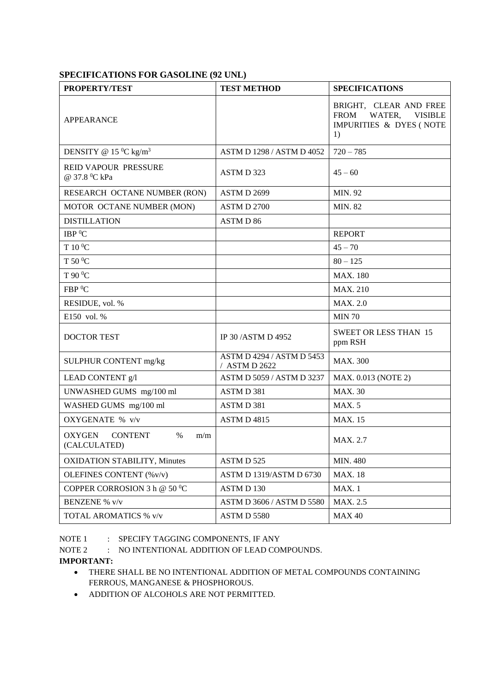#### **SPECIFICATIONS FOR GASOLINE (92 UNL)**

| <b>PROPERTY/TEST</b>                                    | <b>TEST METHOD</b>                              | <b>SPECIFICATIONS</b>                                                                              |  |  |
|---------------------------------------------------------|-------------------------------------------------|----------------------------------------------------------------------------------------------------|--|--|
| <b>APPEARANCE</b>                                       |                                                 | BRIGHT, CLEAR AND FREE<br><b>FROM</b><br>WATER,<br><b>VISIBLE</b><br>IMPURITIES & DYES (NOTE<br>1) |  |  |
| DENSITY @ 15 $^0C$ kg/m <sup>3</sup>                    | ASTM D 1298 / ASTM D 4052                       | $720 - 785$                                                                                        |  |  |
| REID VAPOUR PRESSURE<br>@ 37.8 °C kPa                   | ASTM D 323                                      | $45 - 60$                                                                                          |  |  |
| RESEARCH OCTANE NUMBER (RON)                            | ASTM D 2699                                     | MIN. 92                                                                                            |  |  |
| MOTOR OCTANE NUMBER (MON)                               | ASTM D 2700                                     | <b>MIN. 82</b>                                                                                     |  |  |
| <b>DISTILLATION</b>                                     | ASTM D 86                                       |                                                                                                    |  |  |
| IBP <sup>0</sup> C                                      |                                                 | <b>REPORT</b>                                                                                      |  |  |
| T 10 °C                                                 |                                                 | $45 - 70$                                                                                          |  |  |
| T 50 °C                                                 |                                                 | $80 - 125$                                                                                         |  |  |
| T 90 °C                                                 |                                                 | <b>MAX. 180</b>                                                                                    |  |  |
| FBP <sup>0</sup> C                                      |                                                 | <b>MAX. 210</b>                                                                                    |  |  |
| RESIDUE, vol. %                                         |                                                 | <b>MAX. 2.0</b>                                                                                    |  |  |
| E150 vol. %                                             |                                                 | <b>MIN 70</b>                                                                                      |  |  |
| <b>DOCTOR TEST</b>                                      | IP 30 / ASTM D 4952                             | <b>SWEET OR LESS THAN 15</b><br>ppm RSH                                                            |  |  |
| SULPHUR CONTENT mg/kg                                   | ASTM D 4294 / ASTM D 5453<br><b>ASTM D 2622</b> | <b>MAX. 300</b>                                                                                    |  |  |
| LEAD CONTENT g/l                                        | ASTM D 5059 / ASTM D 3237                       | MAX. 0.013 (NOTE 2)                                                                                |  |  |
| UNWASHED GUMS mg/100 ml                                 | ASTM D 381                                      | <b>MAX. 30</b>                                                                                     |  |  |
| WASHED GUMS mg/100 ml                                   | ASTM D 381                                      | MAX.5                                                                                              |  |  |
| OXYGENATE % v/v                                         | ASTM D 4815                                     | <b>MAX. 15</b>                                                                                     |  |  |
| OXYGEN<br><b>CONTENT</b><br>$\%$<br>m/m<br>(CALCULATED) |                                                 | MAX. 2.7                                                                                           |  |  |
| <b>OXIDATION STABILITY, Minutes</b>                     | ASTM D 525                                      | <b>MIN. 480</b>                                                                                    |  |  |
| OLEFINES CONTENT (% v/v)                                | ASTM D 1319/ASTM D 6730                         | <b>MAX. 18</b>                                                                                     |  |  |
| COPPER CORROSION 3 h @ 50 $^0$ C                        | ASTM D 130                                      | MAX.1                                                                                              |  |  |
| <b>BENZENE % v/v</b>                                    | ASTM D 3606 / ASTM D 5580                       | MAX. 2.5                                                                                           |  |  |
| TOTAL AROMATICS % v/v                                   | ASTM D 5580                                     | <b>MAX 40</b>                                                                                      |  |  |

NOTE 1 : SPECIFY TAGGING COMPONENTS, IF ANY

NOTE 2 : NO INTENTIONAL ADDITION OF LEAD COMPOUNDS.

**IMPORTANT:**

- THERE SHALL BE NO INTENTIONAL ADDITION OF METAL COMPOUNDS CONTAINING FERROUS, MANGANESE & PHOSPHOROUS.
- ADDITION OF ALCOHOLS ARE NOT PERMITTED.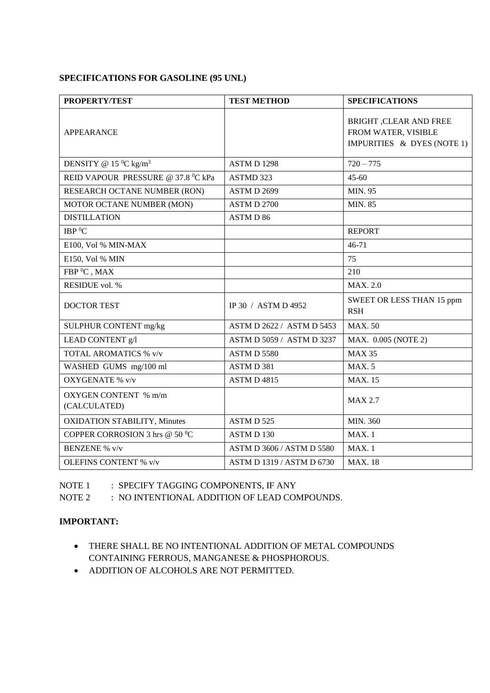### **SPECIFICATIONS FOR GASOLINE (95 UNL)**

| <b>PROPERTY/TEST</b>                 | <b>TEST METHOD</b>        | <b>SPECIFICATIONS</b>                                                       |  |  |
|--------------------------------------|---------------------------|-----------------------------------------------------------------------------|--|--|
| <b>APPEARANCE</b>                    |                           | BRIGHT ,CLEAR AND FREE<br>FROM WATER, VISIBLE<br>IMPURITIES & DYES (NOTE 1) |  |  |
| DENSITY @ 15 $^0C$ kg/m <sup>3</sup> | ASTM D 1298               | $720 - 775$                                                                 |  |  |
| REID VAPOUR PRESSURE @ 37.8 °C kPa   | ASTMD 323                 | $45 - 60$                                                                   |  |  |
| RESEARCH OCTANE NUMBER (RON)         | ASTM D 2699               | MIN. 95                                                                     |  |  |
| MOTOR OCTANE NUMBER (MON)            | <b>ASTM D 2700</b>        | <b>MIN. 85</b>                                                              |  |  |
| <b>DISTILLATION</b>                  | ASTM D 86                 |                                                                             |  |  |
| IBP <sup>0</sup> C                   |                           | <b>REPORT</b>                                                               |  |  |
| E100, Vol % MIN-MAX                  |                           | 46-71                                                                       |  |  |
| E150, Vol % MIN                      |                           | 75                                                                          |  |  |
| FBP <sup>0</sup> C, MAX              |                           | 210                                                                         |  |  |
| RESIDUE vol. %                       |                           | <b>MAX. 2.0</b>                                                             |  |  |
| <b>DOCTOR TEST</b>                   | IP 30 / ASTM D 4952       | SWEET OR LESS THAN 15 ppm<br><b>RSH</b>                                     |  |  |
| SULPHUR CONTENT mg/kg                | ASTM D 2622 / ASTM D 5453 | <b>MAX.50</b>                                                               |  |  |
| LEAD CONTENT g/l                     | ASTM D 5059 / ASTM D 3237 | MAX. 0.005 (NOTE 2)                                                         |  |  |
| TOTAL AROMATICS % v/v                | ASTM D 5580               | <b>MAX 35</b>                                                               |  |  |
| WASHED GUMS mg/100 ml                | ASTM D 381                | <b>MAX.5</b>                                                                |  |  |
| <b>OXYGENATE % v/v</b>               | ASTM D 4815               | <b>MAX.</b> 15                                                              |  |  |
| OXYGEN CONTENT % m/m<br>(CALCULATED) |                           | <b>MAX 2.7</b>                                                              |  |  |
| <b>OXIDATION STABILITY, Minutes</b>  | ASTM D 525                | MIN. 360                                                                    |  |  |
| COPPER CORROSION 3 hrs @ 50 °C       | ASTM D 130                | MAX.1                                                                       |  |  |
| <b>BENZENE % v/v</b>                 | ASTM D 3606 / ASTM D 5580 | MAX.1                                                                       |  |  |
| <b>OLEFINS CONTENT % v/v</b>         | ASTM D 1319 / ASTM D 6730 | <b>MAX.</b> 18                                                              |  |  |

NOTE 1 : SPECIFY TAGGING COMPONENTS, IF ANY

NOTE 2 : NO INTENTIONAL ADDITION OF LEAD COMPOUNDS.

### **IMPORTANT:**

- THERE SHALL BE NO INTENTIONAL ADDITION OF METAL COMPOUNDS CONTAINING FERROUS, MANGANESE & PHOSPHOROUS.
- ADDITION OF ALCOHOLS ARE NOT PERMITTED.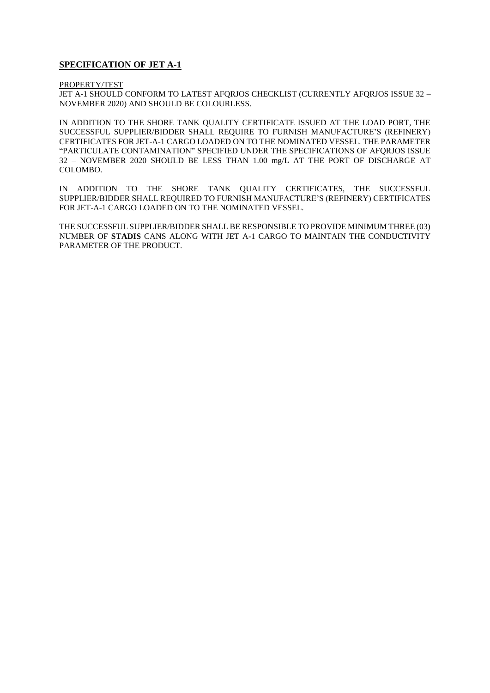#### **SPECIFICATION OF JET A-1**

PROPERTY/TEST

JET A-1 SHOULD CONFORM TO LATEST AFQRJOS CHECKLIST (CURRENTLY AFQRJOS ISSUE 32 – NOVEMBER 2020) AND SHOULD BE COLOURLESS.

IN ADDITION TO THE SHORE TANK QUALITY CERTIFICATE ISSUED AT THE LOAD PORT, THE SUCCESSFUL SUPPLIER/BIDDER SHALL REQUIRE TO FURNISH MANUFACTURE'S (REFINERY) CERTIFICATES FOR JET-A-1 CARGO LOADED ON TO THE NOMINATED VESSEL. THE PARAMETER "PARTICULATE CONTAMINATION" SPECIFIED UNDER THE SPECIFICATIONS OF AFQRJOS ISSUE 32 – NOVEMBER 2020 SHOULD BE LESS THAN 1.00 mg/L AT THE PORT OF DISCHARGE AT COLOMBO.

IN ADDITION TO THE SHORE TANK QUALITY CERTIFICATES, THE SUCCESSFUL SUPPLIER/BIDDER SHALL REQUIRED TO FURNISH MANUFACTURE'S (REFINERY) CERTIFICATES FOR JET-A-1 CARGO LOADED ON TO THE NOMINATED VESSEL.

THE SUCCESSFUL SUPPLIER/BIDDER SHALL BE RESPONSIBLE TO PROVIDE MINIMUM THREE (03) NUMBER OF **STADIS** CANS ALONG WITH JET A-1 CARGO TO MAINTAIN THE CONDUCTIVITY PARAMETER OF THE PRODUCT.